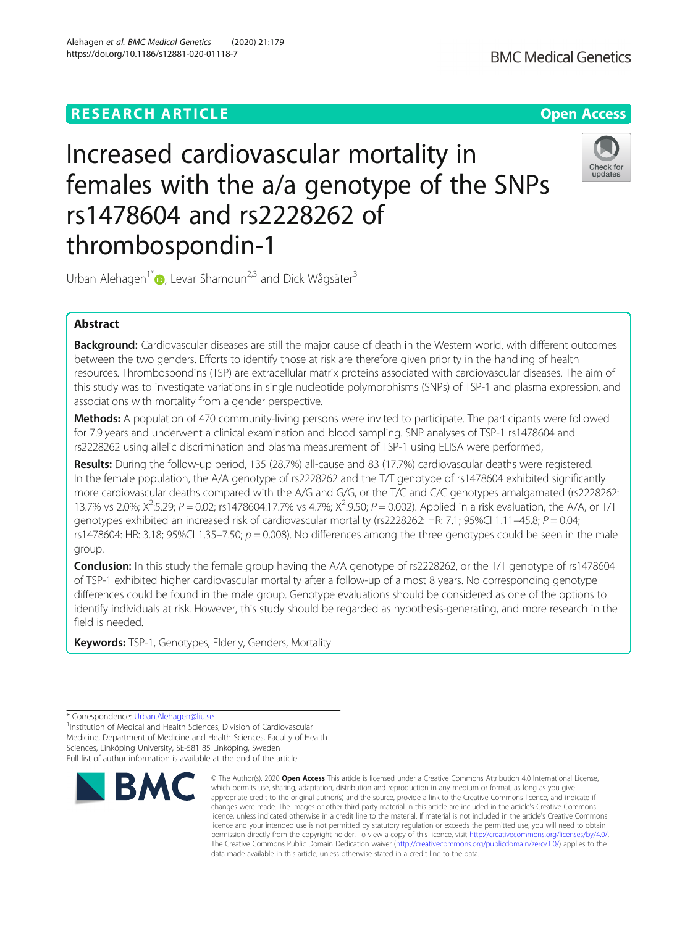# **RESEARCH ARTICLE Example 2014 12:30 The Open Access**

# Increased cardiovascular mortality in females with the a/a genotype of the SNPs rs1478604 and rs2228262 of thrombospondin-1

Urban Alehagen<sup>1\*</sup> **D**[,](http://orcid.org/0000-0001-8205-0041) Levar Shamoun<sup>2,3</sup> and Dick Wågsäter<sup>3</sup>

# Abstract

Background: Cardiovascular diseases are still the major cause of death in the Western world, with different outcomes between the two genders. Efforts to identify those at risk are therefore given priority in the handling of health resources. Thrombospondins (TSP) are extracellular matrix proteins associated with cardiovascular diseases. The aim of this study was to investigate variations in single nucleotide polymorphisms (SNPs) of TSP-1 and plasma expression, and associations with mortality from a gender perspective.

Methods: A population of 470 community-living persons were invited to participate. The participants were followed for 7.9 years and underwent a clinical examination and blood sampling. SNP analyses of TSP-1 rs1478604 and rs2228262 using allelic discrimination and plasma measurement of TSP-1 using ELISA were performed,

Results: During the follow-up period, 135 (28.7%) all-cause and 83 (17.7%) cardiovascular deaths were registered. In the female population, the A/A genotype of rs2228262 and the T/T genotype of rs1478604 exhibited significantly more cardiovascular deaths compared with the A/G and G/G, or the T/C and C/C genotypes amalgamated (rs2228262: 13.7% vs 2.0%;  $X^2$ :5.29; P = 0.02; rs1478604:17.7% vs 4.7%;  $X^2$ :9.50; P = 0.002). Applied in a risk evaluation, the A/A, or T/T genotypes exhibited an increased risk of cardiovascular mortality (rs2228262: HR: 7.1; 95%Cl 1.11–45.8;  $P = 0.04$ ; rs1478604: HR: 3.18; 95%CI 1.35-7.50;  $p = 0.008$ ). No differences among the three genotypes could be seen in the male group.

**Conclusion:** In this study the female group having the A/A genotype of rs2228262, or the T/T genotype of rs1478604 of TSP-1 exhibited higher cardiovascular mortality after a follow-up of almost 8 years. No corresponding genotype differences could be found in the male group. Genotype evaluations should be considered as one of the options to identify individuals at risk. However, this study should be regarded as hypothesis-generating, and more research in the field is needed.

Keywords: TSP-1, Genotypes, Elderly, Genders, Mortality

 $1$ Institution of Medical and Health Sciences, Division of Cardiovascular Medicine, Department of Medicine and Health Sciences, Faculty of Health Sciences, Linköping University, SE-581 85 Linköping, Sweden Full list of author information is available at the end of the article



<sup>©</sup> The Author(s), 2020 **Open Access** This article is licensed under a Creative Commons Attribution 4.0 International License, which permits use, sharing, adaptation, distribution and reproduction in any medium or format, as long as you give appropriate credit to the original author(s) and the source, provide a link to the Creative Commons licence, and indicate if changes were made. The images or other third party material in this article are included in the article's Creative Commons licence, unless indicated otherwise in a credit line to the material. If material is not included in the article's Creative Commons licence and your intended use is not permitted by statutory regulation or exceeds the permitted use, you will need to obtain permission directly from the copyright holder. To view a copy of this licence, visit [http://creativecommons.org/licenses/by/4.0/.](http://creativecommons.org/licenses/by/4.0/) The Creative Commons Public Domain Dedication waiver [\(http://creativecommons.org/publicdomain/zero/1.0/](http://creativecommons.org/publicdomain/zero/1.0/)) applies to the data made available in this article, unless otherwise stated in a credit line to the data.





<sup>\*</sup> Correspondence: [Urban.Alehagen@liu.se](mailto:Urban.Alehagen@liu.se) <sup>1</sup>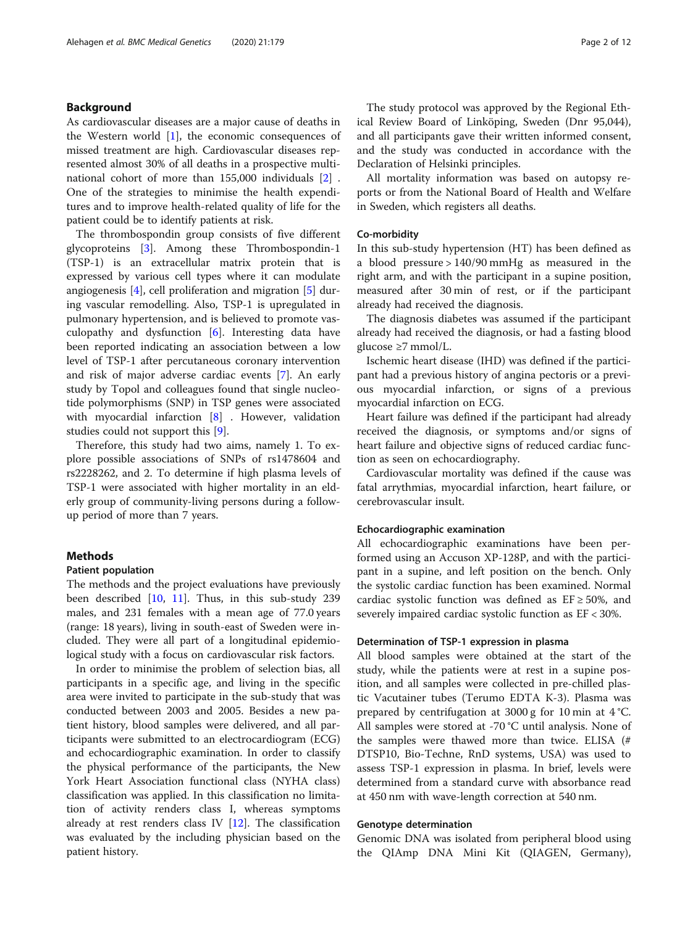# Background

As cardiovascular diseases are a major cause of deaths in the Western world [\[1\]](#page-10-0), the economic consequences of missed treatment are high. Cardiovascular diseases represented almost 30% of all deaths in a prospective multinational cohort of more than 155,000 individuals [[2\]](#page-10-0) . One of the strategies to minimise the health expenditures and to improve health-related quality of life for the patient could be to identify patients at risk.

The thrombospondin group consists of five different glycoproteins [[3\]](#page-10-0). Among these Thrombospondin-1 (TSP-1) is an extracellular matrix protein that is expressed by various cell types where it can modulate angiogenesis [\[4\]](#page-10-0), cell proliferation and migration [[5\]](#page-10-0) during vascular remodelling. Also, TSP-1 is upregulated in pulmonary hypertension, and is believed to promote vasculopathy and dysfunction  $[6]$  $[6]$ . Interesting data have been reported indicating an association between a low level of TSP-1 after percutaneous coronary intervention and risk of major adverse cardiac events [\[7](#page-10-0)]. An early study by Topol and colleagues found that single nucleotide polymorphisms (SNP) in TSP genes were associated with myocardial infarction [[8\]](#page-10-0) . However, validation studies could not support this [\[9](#page-10-0)].

Therefore, this study had two aims, namely 1. To explore possible associations of SNPs of rs1478604 and rs2228262, and 2. To determine if high plasma levels of TSP-1 were associated with higher mortality in an elderly group of community-living persons during a followup period of more than 7 years.

# Methods

#### Patient population

The methods and the project evaluations have previously been described [\[10](#page-10-0), [11\]](#page-10-0). Thus, in this sub-study 239 males, and 231 females with a mean age of 77.0 years (range: 18 years), living in south-east of Sweden were included. They were all part of a longitudinal epidemiological study with a focus on cardiovascular risk factors.

In order to minimise the problem of selection bias, all participants in a specific age, and living in the specific area were invited to participate in the sub-study that was conducted between 2003 and 2005. Besides a new patient history, blood samples were delivered, and all participants were submitted to an electrocardiogram (ECG) and echocardiographic examination. In order to classify the physical performance of the participants, the New York Heart Association functional class (NYHA class) classification was applied. In this classification no limitation of activity renders class I, whereas symptoms already at rest renders class IV [\[12\]](#page-10-0). The classification was evaluated by the including physician based on the patient history.

The study protocol was approved by the Regional Ethical Review Board of Linköping, Sweden (Dnr 95,044), and all participants gave their written informed consent, and the study was conducted in accordance with the Declaration of Helsinki principles.

All mortality information was based on autopsy reports or from the National Board of Health and Welfare in Sweden, which registers all deaths.

# Co-morbidity

In this sub-study hypertension (HT) has been defined as a blood pressure > 140/90 mmHg as measured in the right arm, and with the participant in a supine position, measured after 30 min of rest, or if the participant already had received the diagnosis.

The diagnosis diabetes was assumed if the participant already had received the diagnosis, or had a fasting blood glucose ≥7 mmol/L.

Ischemic heart disease (IHD) was defined if the participant had a previous history of angina pectoris or a previous myocardial infarction, or signs of a previous myocardial infarction on ECG.

Heart failure was defined if the participant had already received the diagnosis, or symptoms and/or signs of heart failure and objective signs of reduced cardiac function as seen on echocardiography.

Cardiovascular mortality was defined if the cause was fatal arrythmias, myocardial infarction, heart failure, or cerebrovascular insult.

# Echocardiographic examination

All echocardiographic examinations have been performed using an Accuson XP-128P, and with the participant in a supine, and left position on the bench. Only the systolic cardiac function has been examined. Normal cardiac systolic function was defined as  $EF \ge 50\%$ , and severely impaired cardiac systolic function as EF < 30%.

## Determination of TSP-1 expression in plasma

All blood samples were obtained at the start of the study, while the patients were at rest in a supine position, and all samples were collected in pre-chilled plastic Vacutainer tubes (Terumo EDTA K-3). Plasma was prepared by centrifugation at 3000 g for 10 min at 4 °C. All samples were stored at -70 °C until analysis. None of the samples were thawed more than twice. ELISA (# DTSP10, Bio-Techne, RnD systems, USA) was used to assess TSP-1 expression in plasma. In brief, levels were determined from a standard curve with absorbance read at 450 nm with wave-length correction at 540 nm.

# Genotype determination

Genomic DNA was isolated from peripheral blood using the QIAmp DNA Mini Kit (QIAGEN, Germany),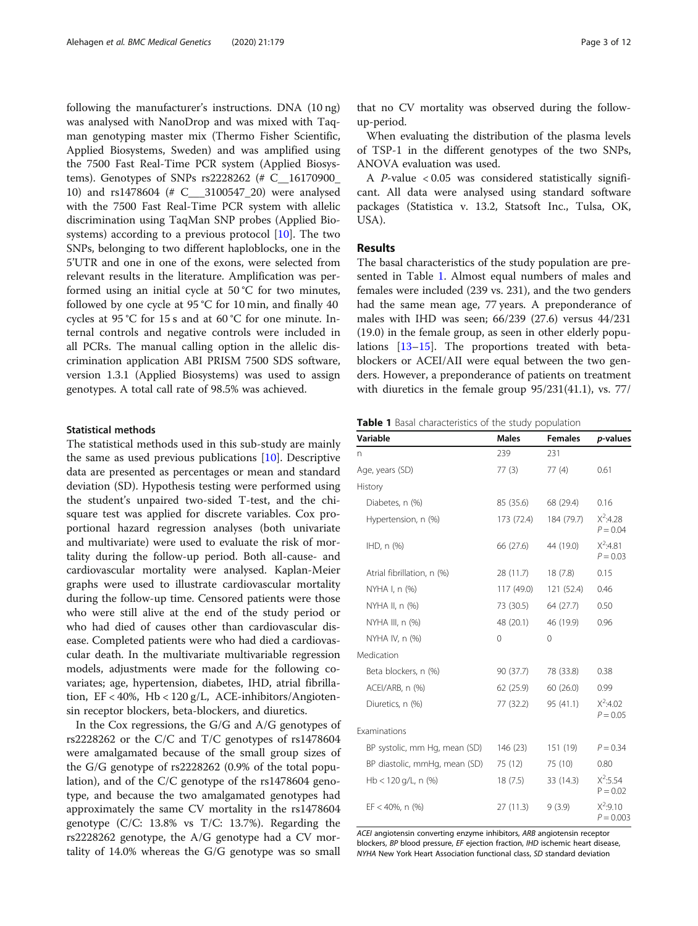<span id="page-2-0"></span>following the manufacturer's instructions. DNA (10 ng) was analysed with NanoDrop and was mixed with Taqman genotyping master mix (Thermo Fisher Scientific, Applied Biosystems, Sweden) and was amplified using the 7500 Fast Real-Time PCR system (Applied Biosystems). Genotypes of SNPs rs2228262 (# C\_\_16170900\_ 10) and rs1478604 (# C\_\_\_3100547\_20) were analysed with the 7500 Fast Real-Time PCR system with allelic discrimination using TaqMan SNP probes (Applied Biosystems) according to a previous protocol  $[10]$ . The two SNPs, belonging to two different haploblocks, one in the 5'UTR and one in one of the exons, were selected from relevant results in the literature. Amplification was performed using an initial cycle at 50 °C for two minutes, followed by one cycle at  $95^{\circ}$ C for 10 min, and finally 40 cycles at 95 °C for 15 s and at 60 °C for one minute. Internal controls and negative controls were included in all PCRs. The manual calling option in the allelic discrimination application ABI PRISM 7500 SDS software, version 1.3.1 (Applied Biosystems) was used to assign genotypes. A total call rate of 98.5% was achieved.

# Statistical methods

The statistical methods used in this sub-study are mainly the same as used previous publications [\[10\]](#page-10-0). Descriptive data are presented as percentages or mean and standard deviation (SD). Hypothesis testing were performed using the student's unpaired two-sided T-test, and the chisquare test was applied for discrete variables. Cox proportional hazard regression analyses (both univariate and multivariate) were used to evaluate the risk of mortality during the follow-up period. Both all-cause- and cardiovascular mortality were analysed. Kaplan-Meier graphs were used to illustrate cardiovascular mortality during the follow-up time. Censored patients were those who were still alive at the end of the study period or who had died of causes other than cardiovascular disease. Completed patients were who had died a cardiovascular death. In the multivariate multivariable regression models, adjustments were made for the following covariates; age, hypertension, diabetes, IHD, atrial fibrillation, EF < 40%, Hb < 120 g/L, ACE-inhibitors/Angiotensin receptor blockers, beta-blockers, and diuretics.

In the Cox regressions, the G/G and A/G genotypes of rs2228262 or the C/C and T/C genotypes of rs1478604 were amalgamated because of the small group sizes of the G/G genotype of rs2228262 (0.9% of the total population), and of the C/C genotype of the rs1478604 genotype, and because the two amalgamated genotypes had approximately the same CV mortality in the rs1478604 genotype (C/C: 13.8% vs T/C: 13.7%). Regarding the rs2228262 genotype, the A/G genotype had a CV mortality of 14.0% whereas the G/G genotype was so small

that no CV mortality was observed during the followup-period.

When evaluating the distribution of the plasma levels of TSP-1 in the different genotypes of the two SNPs, ANOVA evaluation was used.

A P-value < 0.05 was considered statistically significant. All data were analysed using standard software packages (Statistica v. 13.2, Statsoft Inc., Tulsa, OK, USA).

# Results

The basal characteristics of the study population are presented in Table 1. Almost equal numbers of males and females were included (239 vs. 231), and the two genders had the same mean age, 77 years. A preponderance of males with IHD was seen; 66/239 (27.6) versus 44/231 (19.0) in the female group, as seen in other elderly populations [[13](#page-10-0)–[15](#page-10-0)]. The proportions treated with betablockers or ACEI/AII were equal between the two genders. However, a preponderance of patients on treatment with diuretics in the female group 95/231(41.1), vs. 77/

|  |  | Table 1 Basal characteristics of the study population |  |  |  |
|--|--|-------------------------------------------------------|--|--|--|
|--|--|-------------------------------------------------------|--|--|--|

| Variable                      | <b>Males</b> | <b>Females</b> | p-values                  |
|-------------------------------|--------------|----------------|---------------------------|
| n                             | 239          | 231            |                           |
| Age, years (SD)               | 77(3)        | 77(4)          | 0.61                      |
| History                       |              |                |                           |
| Diabetes, n (%)               | 85 (35.6)    | 68 (29.4)      | 0.16                      |
| Hypertension, n (%)           | 173 (72.4)   | 184 (79.7)     | $X^2:4.28$<br>$P = 0.04$  |
| IHD, n (%)                    | 66 (27.6)    | 44 (19.0)      | $X^2:4.81$<br>$P = 0.03$  |
| Atrial fibrillation, n (%)    | 28 (11.7)    | 18(7.8)        | 0.15                      |
| NYHA I, n (%)                 | 117 (49.0)   | 121(52.4)      | 0.46                      |
| NYHA II, n (%)                | 73 (30.5)    | 64 (27.7)      | 0.50                      |
| NYHA III, n (%)               | 48 (20.1)    | 46 (19.9)      | 0.96                      |
| NYHA IV, n (%)                | 0            | 0              |                           |
| Medication                    |              |                |                           |
| Beta blockers, n (%)          | 90 (37.7)    | 78 (33.8)      | 0.38                      |
| ACEI/ARB, n (%)               | 62(25.9)     | 60(26.0)       | 0.99                      |
| Diuretics, n (%)              | 77 (32.2)    | 95 (41.1)      | $X^2:4.02$<br>$P = 0.05$  |
| Examinations                  |              |                |                           |
| BP systolic, mm Hg, mean (SD) | 146 (23)     | 151 (19)       | $P = 0.34$                |
| BP diastolic, mmHg, mean (SD) | 75 (12)      | 75 (10)        | 0.80                      |
| Hb < $120$ g/L, n (%)         | 18(7.5)      | 33 (14.3)      | $X^2:5.54$<br>$P = 0.02$  |
| $EF < 40\%$ , n $(\%)$        | 27 (11.3)    | 9(3.9)         | $X^2:9.10$<br>$P = 0.003$ |

ACEI angiotensin converting enzyme inhibitors, ARB angiotensin receptor blockers, BP blood pressure, EF ejection fraction, IHD ischemic heart disease, NYHA New York Heart Association functional class, SD standard deviation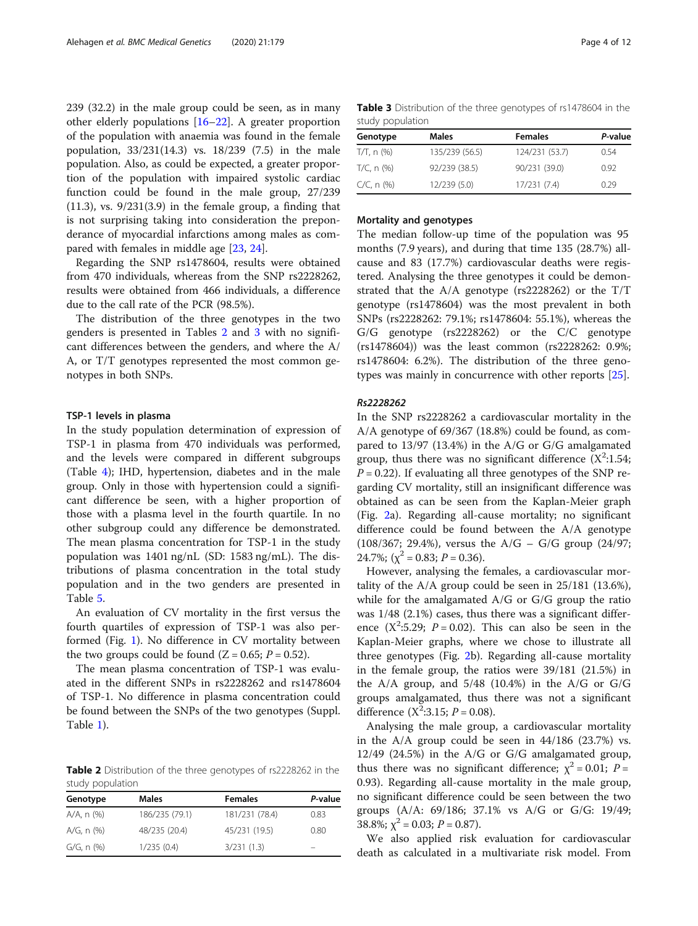239 (32.2) in the male group could be seen, as in many other elderly populations [\[16](#page-10-0)–[22\]](#page-10-0). A greater proportion of the population with anaemia was found in the female population, 33/231(14.3) vs. 18/239 (7.5) in the male population. Also, as could be expected, a greater proportion of the population with impaired systolic cardiac function could be found in the male group, 27/239  $(11.3)$ , vs.  $9/231(3.9)$  in the female group, a finding that is not surprising taking into consideration the preponderance of myocardial infarctions among males as compared with females in middle age [\[23](#page-10-0), [24](#page-10-0)].

Regarding the SNP rs1478604, results were obtained from 470 individuals, whereas from the SNP rs2228262, results were obtained from 466 individuals, a difference due to the call rate of the PCR (98.5%).

The distribution of the three genotypes in the two genders is presented in Tables 2 and 3 with no significant differences between the genders, and where the A/ A, or T/T genotypes represented the most common genotypes in both SNPs.

#### TSP-1 levels in plasma

In the study population determination of expression of TSP-1 in plasma from 470 individuals was performed, and the levels were compared in different subgroups (Table [4](#page-4-0)); IHD, hypertension, diabetes and in the male group. Only in those with hypertension could a significant difference be seen, with a higher proportion of those with a plasma level in the fourth quartile. In no other subgroup could any difference be demonstrated. The mean plasma concentration for TSP-1 in the study population was 1401 ng/nL (SD: 1583 ng/mL). The distributions of plasma concentration in the total study population and in the two genders are presented in Table [5.](#page-4-0)

An evaluation of CV mortality in the first versus the fourth quartiles of expression of TSP-1 was also performed (Fig. [1\)](#page-5-0). No difference in CV mortality between the two groups could be found  $(Z = 0.65; P = 0.52)$ .

The mean plasma concentration of TSP-1 was evaluated in the different SNPs in rs2228262 and rs1478604 of TSP-1. No difference in plasma concentration could be found between the SNPs of the two genotypes (Suppl. Table [1\)](#page-2-0).

Table 2 Distribution of the three genotypes of rs2228262 in the study population

| Genotype   | Males          | <b>Females</b> | P-value |
|------------|----------------|----------------|---------|
| A/A, n (%) | 186/235 (79.1) | 181/231 (78.4) | 0.83    |
| A/G, n (%) | 48/235 (20.4)  | 45/231 (19.5)  | 0.80    |
| G/G, n (%) | 1/235(0.4)     | 3/231(1.3)     | -       |

Table 3 Distribution of the three genotypes of rs1478604 in the study population

| Genotype   | Males          | <b>Females</b> | P-value |
|------------|----------------|----------------|---------|
| T/T, n (%) | 135/239 (56.5) | 124/231 (53.7) | 0.54    |
| T/C, n (%) | 92/239 (38.5)  | 90/231 (39.0)  | 0.92    |
| C/C, n (%) | 12/239 (5.0)   | 17/231 (7.4)   | 0.29    |

#### Mortality and genotypes

The median follow-up time of the population was 95 months (7.9 years), and during that time 135 (28.7%) allcause and 83 (17.7%) cardiovascular deaths were registered. Analysing the three genotypes it could be demonstrated that the A/A genotype (rs2228262) or the T/T genotype (rs1478604) was the most prevalent in both SNPs (rs2228262: 79.1%; rs1478604: 55.1%), whereas the G/G genotype (rs2228262) or the C/C genotype (rs1478604)) was the least common (rs2228262: 0.9%; rs1478604: 6.2%). The distribution of the three genotypes was mainly in concurrence with other reports [\[25\]](#page-10-0).

## Rs2228262

In the SNP rs2228262 a cardiovascular mortality in the A/A genotype of 69/367 (18.8%) could be found, as compared to 13/97 (13.4%) in the A/G or G/G amalgamated group, thus there was no significant difference  $(X^2:1.54)$  $P = 0.22$ ). If evaluating all three genotypes of the SNP regarding CV mortality, still an insignificant difference was obtained as can be seen from the Kaplan-Meier graph (Fig. [2a](#page-6-0)). Regarding all-cause mortality; no significant difference could be found between the A/A genotype (108/367; 29.4%), versus the A/G – G/G group (24/97; 24.7%;  $(\chi^2 = 0.83; P = 0.36)$ .

However, analysing the females, a cardiovascular mortality of the  $A/A$  group could be seen in 25/181 (13.6%), while for the amalgamated A/G or G/G group the ratio was 1/48 (2.1%) cases, thus there was a significant difference  $(X^2:5.29; P = 0.02)$ . This can also be seen in the Kaplan-Meier graphs, where we chose to illustrate all three genotypes (Fig. [2b](#page-6-0)). Regarding all-cause mortality in the female group, the ratios were 39/181 (21.5%) in the  $A/A$  group, and  $5/48$  (10.4%) in the  $A/G$  or  $G/G$ groups amalgamated, thus there was not a significant difference  $(X^2:3.15; P = 0.08)$ .

Analysing the male group, a cardiovascular mortality in the A/A group could be seen in 44/186 (23.7%) vs. 12/49 (24.5%) in the A/G or G/G amalgamated group, thus there was no significant difference;  $\chi^2 = 0.01$ ;  $P =$ 0.93). Regarding all-cause mortality in the male group, no significant difference could be seen between the two groups (A/A: 69/186; 37.1% vs A/G or G/G: 19/49; 38.8%;  $\chi^2$  = 0.03; P = 0.87).

We also applied risk evaluation for cardiovascular death as calculated in a multivariate risk model. From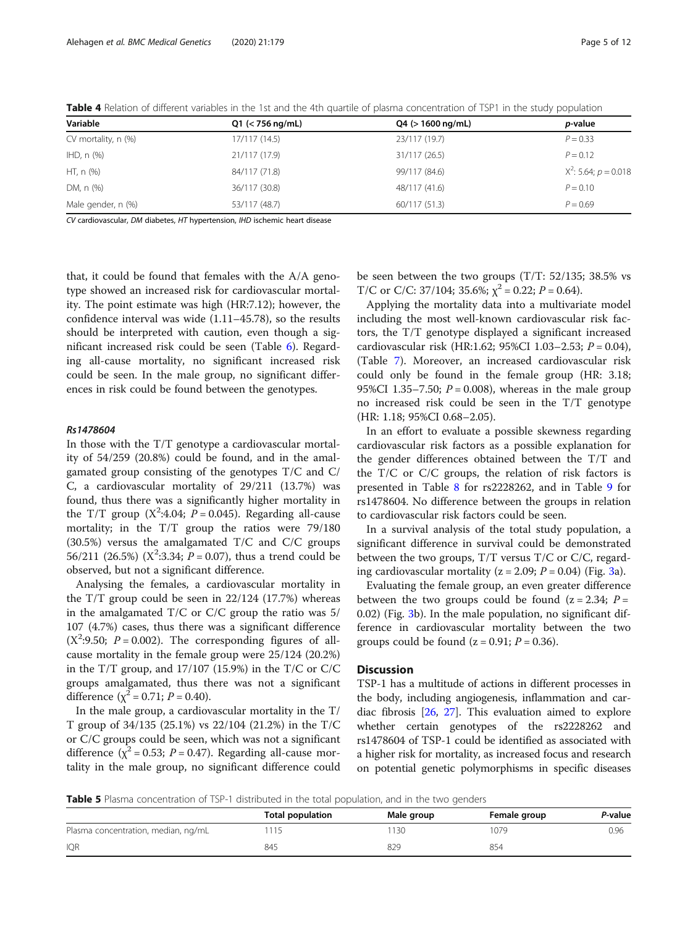| Variable            | $Q1$ (< 756 ng/mL) | $Q4$ ( $> 1600$ ng/mL) | <i>p</i> -value           |
|---------------------|--------------------|------------------------|---------------------------|
| CV mortality, n (%) | 17/117 (14.5)      | 23/117 (19.7)          | $P = 0.33$                |
| IHD, n (%)          | 21/117 (17.9)      | 31/117 (26.5)          | $P = 0.12$                |
| HT, n (%)           | 84/117 (71.8)      | 99/117 (84.6)          | $X^2$ : 5.64; $p = 0.018$ |
| DM, n (%)           | 36/117 (30.8)      | 48/117 (41.6)          | $P = 0.10$                |
| Male gender, n (%)  | 53/117 (48.7)      | 60/117 (51.3)          | $P = 0.69$                |

<span id="page-4-0"></span>Table 4 Relation of different variables in the 1st and the 4th quartile of plasma concentration of TSP1 in the study population

CV cardiovascular, DM diabetes, HT hypertension, IHD ischemic heart disease

that, it could be found that females with the A/A genotype showed an increased risk for cardiovascular mortality. The point estimate was high (HR:7.12); however, the confidence interval was wide (1.11–45.78), so the results should be interpreted with caution, even though a significant increased risk could be seen (Table [6](#page-7-0)). Regarding all-cause mortality, no significant increased risk could be seen. In the male group, no significant differences in risk could be found between the genotypes.

# Rs1478604

In those with the T/T genotype a cardiovascular mortality of 54/259 (20.8%) could be found, and in the amalgamated group consisting of the genotypes T/C and C/ C, a cardiovascular mortality of 29/211 (13.7%) was found, thus there was a significantly higher mortality in the T/T group ( $X^2:4.04$ ;  $P = 0.045$ ). Regarding all-cause mortality; in the T/T group the ratios were 79/180 (30.5%) versus the amalgamated T/C and C/C groups 56/211 (26.5%) ( $X^2$ :3.34;  $P = 0.07$ ), thus a trend could be observed, but not a significant difference.

Analysing the females, a cardiovascular mortality in the T/T group could be seen in 22/124 (17.7%) whereas in the amalgamated T/C or C/C group the ratio was 5/ 107 (4.7%) cases, thus there was a significant difference  $(X^2:9.50; P = 0.002)$ . The corresponding figures of allcause mortality in the female group were 25/124 (20.2%) in the T/T group, and  $17/107$  (15.9%) in the T/C or C/C groups amalgamated, thus there was not a significant difference  $(\chi^2 = 0.71; P = 0.40)$ .

In the male group, a cardiovascular mortality in the T/ T group of 34/135 (25.1%) vs 22/104 (21.2%) in the T/C or C/C groups could be seen, which was not a significant difference ( $\chi^2$  = 0.53; P = 0.47). Regarding all-cause mortality in the male group, no significant difference could be seen between the two groups (T/T: 52/135; 38.5% vs T/C or C/C: 37/104; 35.6%;  $\chi^2$  = 0.22; P = 0.64).

Applying the mortality data into a multivariate model including the most well-known cardiovascular risk factors, the T/T genotype displayed a significant increased cardiovascular risk (HR:1.62; 95%CI 1.03–2.53; P = 0.04), (Table [7](#page-7-0)). Moreover, an increased cardiovascular risk could only be found in the female group (HR: 3.18; 95%CI 1.35–7.50;  $P = 0.008$ ), whereas in the male group no increased risk could be seen in the T/T genotype (HR: 1.18; 95%CI 0.68–2.05).

In an effort to evaluate a possible skewness regarding cardiovascular risk factors as a possible explanation for the gender differences obtained between the T/T and the T/C or C/C groups, the relation of risk factors is presented in Table [8](#page-8-0) for rs2228262, and in Table [9](#page-8-0) for rs1478604. No difference between the groups in relation to cardiovascular risk factors could be seen.

In a survival analysis of the total study population, a significant difference in survival could be demonstrated between the two groups, T/T versus T/C or C/C, regarding cardiovascular mortality ( $z = 2.09$ ;  $P = 0.04$ ) (Fig. [3a](#page-9-0)).

Evaluating the female group, an even greater difference between the two groups could be found  $(z = 2.34; P =$ 0.02) (Fig. [3](#page-9-0)b). In the male population, no significant difference in cardiovascular mortality between the two groups could be found  $(z = 0.91; P = 0.36)$ .

# **Discussion**

TSP-1 has a multitude of actions in different processes in the body, including angiogenesis, inflammation and cardiac fibrosis [\[26](#page-10-0), [27\]](#page-11-0). This evaluation aimed to explore whether certain genotypes of the rs2228262 and rs1478604 of TSP-1 could be identified as associated with a higher risk for mortality, as increased focus and research on potential genetic polymorphisms in specific diseases

**Table 5** Plasma concentration of TSP-1 distributed in the total population, and in the two genders

|                                     | <b>Total population</b> | Male group | Female group | P-value |
|-------------------------------------|-------------------------|------------|--------------|---------|
| Plasma concentration, median, ng/mL |                         | 130        | 1079         | 0.96    |
| <b>IQR</b>                          | 845                     | 829        | 854          |         |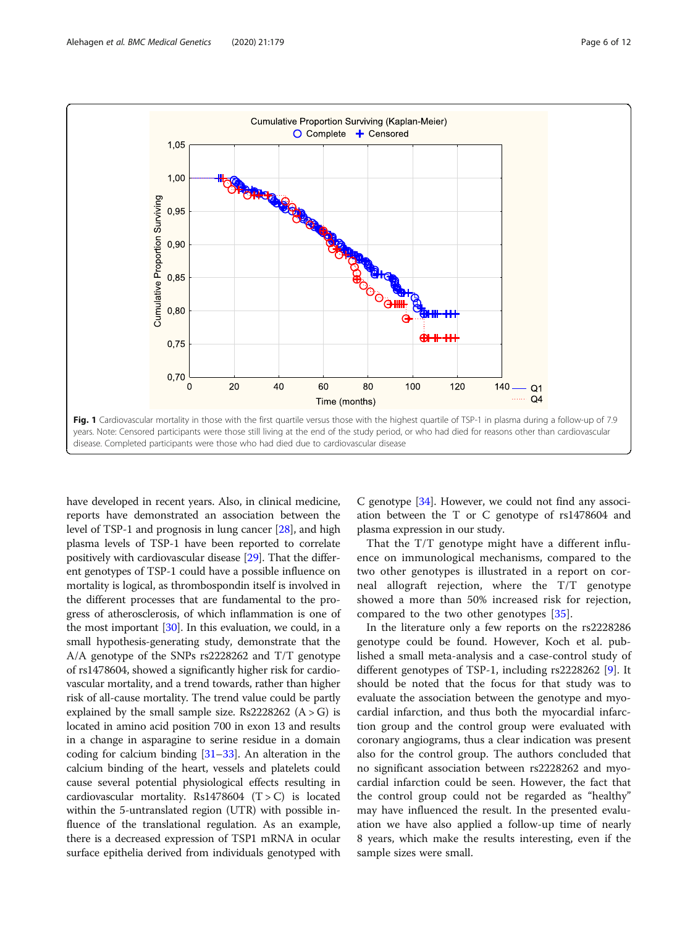<span id="page-5-0"></span>

have developed in recent years. Also, in clinical medicine, reports have demonstrated an association between the level of TSP-1 and prognosis in lung cancer [[28](#page-11-0)], and high plasma levels of TSP-1 have been reported to correlate positively with cardiovascular disease [\[29\]](#page-11-0). That the different genotypes of TSP-1 could have a possible influence on mortality is logical, as thrombospondin itself is involved in the different processes that are fundamental to the progress of atherosclerosis, of which inflammation is one of the most important [\[30\]](#page-11-0). In this evaluation, we could, in a small hypothesis-generating study, demonstrate that the A/A genotype of the SNPs rs2228262 and T/T genotype of rs1478604, showed a significantly higher risk for cardiovascular mortality, and a trend towards, rather than higher risk of all-cause mortality. The trend value could be partly explained by the small sample size. Rs2228262  $(A > G)$  is located in amino acid position 700 in exon 13 and results in a change in asparagine to serine residue in a domain coding for calcium binding [[31](#page-11-0)–[33\]](#page-11-0). An alteration in the calcium binding of the heart, vessels and platelets could cause several potential physiological effects resulting in cardiovascular mortality. Rs1478604  $(T > C)$  is located within the 5-untranslated region (UTR) with possible influence of the translational regulation. As an example, there is a decreased expression of TSP1 mRNA in ocular surface epithelia derived from individuals genotyped with

C genotype [[34](#page-11-0)]. However, we could not find any association between the T or C genotype of rs1478604 and plasma expression in our study.

That the T/T genotype might have a different influence on immunological mechanisms, compared to the two other genotypes is illustrated in a report on corneal allograft rejection, where the T/T genotype showed a more than 50% increased risk for rejection, compared to the two other genotypes [\[35](#page-11-0)].

In the literature only a few reports on the rs2228286 genotype could be found. However, Koch et al. published a small meta-analysis and a case-control study of different genotypes of TSP-1, including rs2228262 [[9\]](#page-10-0). It should be noted that the focus for that study was to evaluate the association between the genotype and myocardial infarction, and thus both the myocardial infarction group and the control group were evaluated with coronary angiograms, thus a clear indication was present also for the control group. The authors concluded that no significant association between rs2228262 and myocardial infarction could be seen. However, the fact that the control group could not be regarded as "healthy" may have influenced the result. In the presented evaluation we have also applied a follow-up time of nearly 8 years, which make the results interesting, even if the sample sizes were small.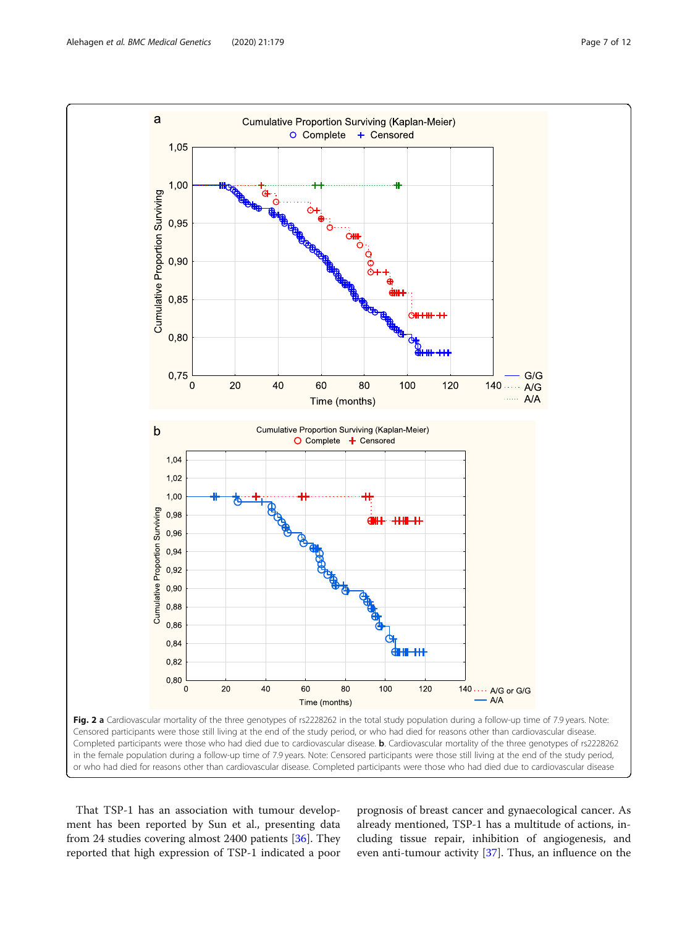<span id="page-6-0"></span>

That TSP-1 has an association with tumour development has been reported by Sun et al., presenting data from 24 studies covering almost 2400 patients [[36\]](#page-11-0). They reported that high expression of TSP-1 indicated a poor prognosis of breast cancer and gynaecological cancer. As already mentioned, TSP-1 has a multitude of actions, including tissue repair, inhibition of angiogenesis, and even anti-tumour activity [[37\]](#page-11-0). Thus, an influence on the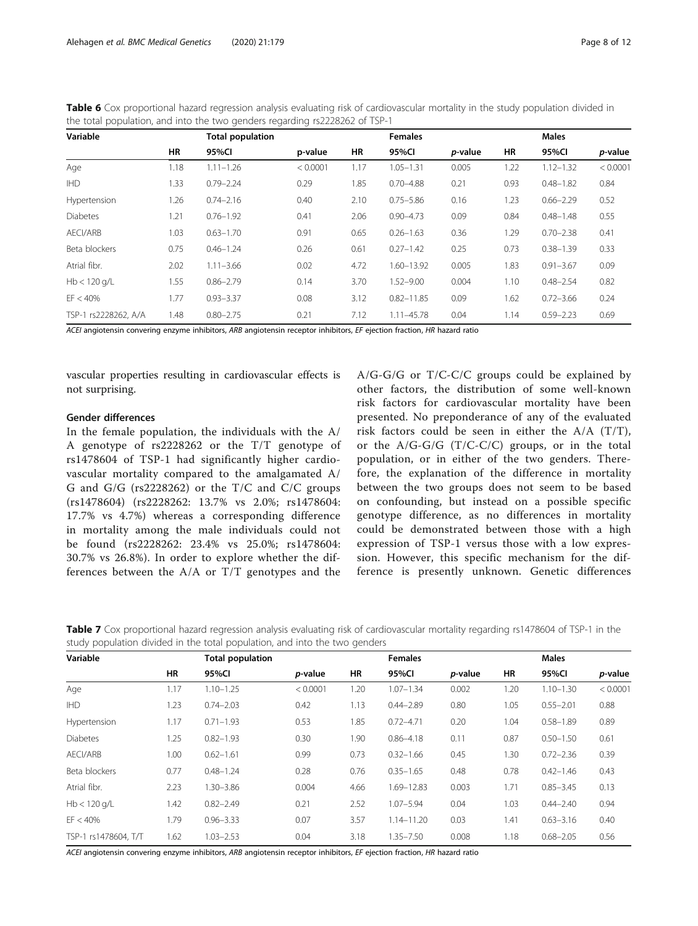<span id="page-7-0"></span>

|  | Table 6 Cox proportional hazard regression analysis evaluating risk of cardiovascular mortality in the study population divided in |  |  |  |  |
|--|------------------------------------------------------------------------------------------------------------------------------------|--|--|--|--|
|  | the total population, and into the two genders regarding rs2228262 of TSP-1                                                        |  |  |  |  |

| Variable             |      | <b>Total population</b> |          |      | <b>Females</b> |                 |      | <b>Males</b>  |                 |
|----------------------|------|-------------------------|----------|------|----------------|-----------------|------|---------------|-----------------|
|                      | HR   | 95%CI                   | p-value  | HR   | 95%CI          | <i>p</i> -value | HR   | 95%CI         | <i>p</i> -value |
| Age                  | 1.18 | $1.11 - 1.26$           | < 0.0001 | 1.17 | $1.05 - 1.31$  | 0.005           | 1.22 | $1.12 - 1.32$ | < 0.0001        |
| <b>IHD</b>           | 1.33 | $0.79 - 2.24$           | 0.29     | 1.85 | $0.70 - 4.88$  | 0.21            | 0.93 | $0.48 - 1.82$ | 0.84            |
| Hypertension         | 1.26 | $0.74 - 2.16$           | 0.40     | 2.10 | $0.75 - 5.86$  | 0.16            | 1.23 | $0.66 - 2.29$ | 0.52            |
| <b>Diabetes</b>      | 1.21 | $0.76 - 1.92$           | 0.41     | 2.06 | $0.90 - 4.73$  | 0.09            | 0.84 | $0.48 - 1.48$ | 0.55            |
| AECI/ARB             | 1.03 | $0.63 - 1.70$           | 0.91     | 0.65 | $0.26 - 1.63$  | 0.36            | 1.29 | $0.70 - 2.38$ | 0.41            |
| Beta blockers        | 0.75 | $0.46 - 1.24$           | 0.26     | 0.61 | $0.27 - 1.42$  | 0.25            | 0.73 | $0.38 - 1.39$ | 0.33            |
| Atrial fibr.         | 2.02 | $1.11 - 3.66$           | 0.02     | 4.72 | $1.60 - 13.92$ | 0.005           | 1.83 | $0.91 - 3.67$ | 0.09            |
| $Hb < 120$ g/L       | 1.55 | $0.86 - 2.79$           | 0.14     | 3.70 | $1.52 - 9.00$  | 0.004           | 1.10 | $0.48 - 2.54$ | 0.82            |
| EF < 40%             | 1.77 | $0.93 - 3.37$           | 0.08     | 3.12 | $0.82 - 11.85$ | 0.09            | 1.62 | $0.72 - 3.66$ | 0.24            |
| TSP-1 rs2228262, A/A | 1.48 | $0.80 - 2.75$           | 0.21     | 7.12 | $1.11 - 45.78$ | 0.04            | 1.14 | $0.59 - 2.23$ | 0.69            |

ACEI angiotensin convering enzyme inhibitors, ARB angiotensin receptor inhibitors, EF ejection fraction, HR hazard ratio

vascular properties resulting in cardiovascular effects is not surprising.

# Gender differences

In the female population, the individuals with the A/ A genotype of rs2228262 or the T/T genotype of rs1478604 of TSP-1 had significantly higher cardiovascular mortality compared to the amalgamated A/ G and G/G (rs2228262) or the T/C and C/C groups (rs1478604) (rs2228262: 13.7% vs 2.0%; rs1478604: 17.7% vs 4.7%) whereas a corresponding difference in mortality among the male individuals could not be found (rs2228262: 23.4% vs 25.0%; rs1478604: 30.7% vs 26.8%). In order to explore whether the differences between the A/A or T/T genotypes and the A/G-G/G or T/C-C/C groups could be explained by other factors, the distribution of some well-known risk factors for cardiovascular mortality have been presented. No preponderance of any of the evaluated risk factors could be seen in either the  $A/A$  (T/T), or the A/G-G/G (T/C-C/C) groups, or in the total population, or in either of the two genders. Therefore, the explanation of the difference in mortality between the two groups does not seem to be based on confounding, but instead on a possible specific genotype difference, as no differences in mortality could be demonstrated between those with a high expression of TSP-1 versus those with a low expression. However, this specific mechanism for the difference is presently unknown. Genetic differences

Table 7 Cox proportional hazard regression analysis evaluating risk of cardiovascular mortality regarding rs1478604 of TSP-1 in the study population divided in the total population, and into the two genders

| Variable             |      | <b>Total population</b> |                 |      | <b>Females</b> |                 |           | <b>Males</b>  |                 |
|----------------------|------|-------------------------|-----------------|------|----------------|-----------------|-----------|---------------|-----------------|
|                      | HR   | 95%CI                   | <i>p</i> -value | HR   | 95%Cl          | <i>p</i> -value | <b>HR</b> | 95%CI         | <i>p</i> -value |
| Age                  | 1.17 | $1.10 - 1.25$           | < 0.0001        | 1.20 | $1.07 - 1.34$  | 0.002           | 1.20      | $1.10 - 1.30$ | < 0.0001        |
| <b>IHD</b>           | 1.23 | $0.74 - 2.03$           | 0.42            | 1.13 | $0.44 - 2.89$  | 0.80            | 1.05      | $0.55 - 2.01$ | 0.88            |
| Hypertension         | 1.17 | $0.71 - 1.93$           | 0.53            | 1.85 | $0.72 - 4.71$  | 0.20            | 1.04      | $0.58 - 1.89$ | 0.89            |
| <b>Diabetes</b>      | 1.25 | $0.82 - 1.93$           | 0.30            | 1.90 | $0.86 - 4.18$  | 0.11            | 0.87      | $0.50 - 1.50$ | 0.61            |
| AECI/ARB             | 1.00 | $0.62 - 1.61$           | 0.99            | 0.73 | $0.32 - 1.66$  | 0.45            | 1.30      | $0.72 - 2.36$ | 0.39            |
| Beta blockers        | 0.77 | $0.48 - 1.24$           | 0.28            | 0.76 | $0.35 - 1.65$  | 0.48            | 0.78      | $0.42 - 1.46$ | 0.43            |
| Atrial fibr.         | 2.23 | 1.30-3.86               | 0.004           | 4.66 | 1.69-12.83     | 0.003           | 1.71      | $0.85 - 3.45$ | 0.13            |
| $Hb < 120$ g/L       | 1.42 | $0.82 - 2.49$           | 0.21            | 2.52 | $1.07 - 5.94$  | 0.04            | 1.03      | $0.44 - 2.40$ | 0.94            |
| EF < 40%             | 1.79 | $0.96 - 3.33$           | 0.07            | 3.57 | $1.14 - 11.20$ | 0.03            | 1.41      | $0.63 - 3.16$ | 0.40            |
| TSP-1 rs1478604, T/T | 1.62 | $1.03 - 2.53$           | 0.04            | 3.18 | $1.35 - 7.50$  | 0.008           | 1.18      | $0.68 - 2.05$ | 0.56            |

ACEI angiotensin convering enzyme inhibitors, ARB angiotensin receptor inhibitors, EF ejection fraction, HR hazard ratio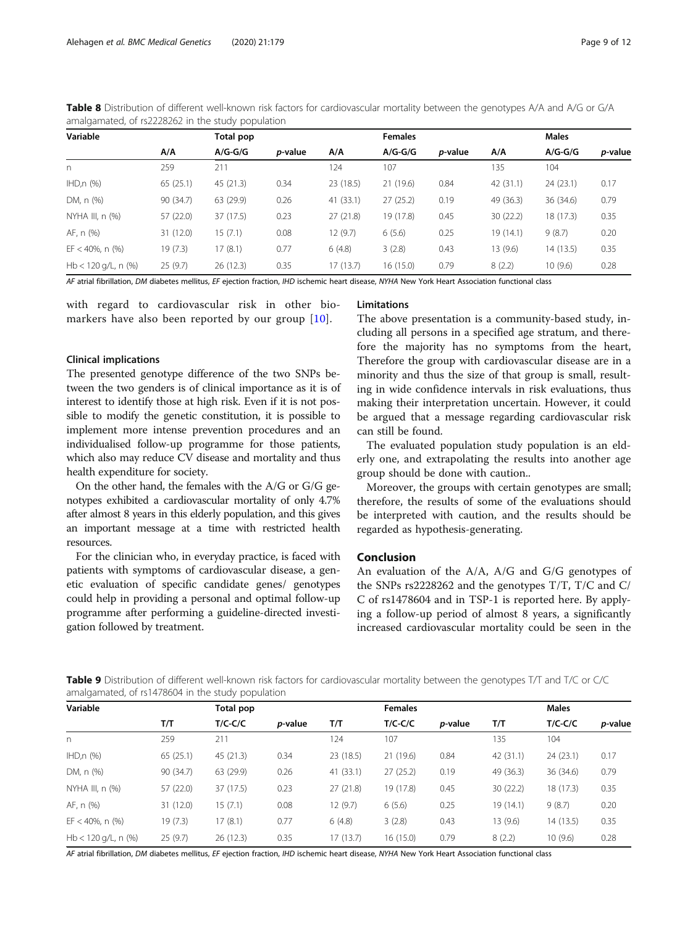| Variable                 |           | Total pop |                 |          | <b>Females</b> |                 |           |           | <b>Males</b>    |  |
|--------------------------|-----------|-----------|-----------------|----------|----------------|-----------------|-----------|-----------|-----------------|--|
|                          | A/A       | $A/G-G/G$ | <i>p</i> -value | A/A      | $A/G-G/G$      | <i>p</i> -value | A/A       | $A/G-G/G$ | <i>p</i> -value |  |
| n                        | 259       | 211       |                 | 124      | 107            |                 | 135       | 104       |                 |  |
| $H^{(0)}(% )$            | 65(25.1)  | 45(21.3)  | 0.34            | 23(18.5) | 21 (19.6)      | 0.84            | 42 (31.1) | 24(23.1)  | 0.17            |  |
| DM, n (%)                | 90 (34.7) | 63 (29.9) | 0.26            | 41(33.1) | 27(25.2)       | 0.19            | 49 (36.3) | 36 (34.6) | 0.79            |  |
| NYHA III, n (%)          | 57 (22.0) | 37(17.5)  | 0.23            | 27(21.8) | 19 (17.8)      | 0.45            | 30 (22.2) | 18 (17.3) | 0.35            |  |
| AF, n (%)                | 31 (12.0) | 15(7.1)   | 0.08            | 12(9.7)  | 6(5.6)         | 0.25            | 19(14.1)  | 9(8.7)    | 0.20            |  |
| $EF < 40\%$ , n $(\% )$  | 19 (7.3)  | 17(8.1)   | 0.77            | 6(4.8)   | 3(2.8)         | 0.43            | 13(9.6)   | 14(13.5)  | 0.35            |  |
| Hb < $120$ g/L, n $(\%)$ | 25(9.7)   | 26(12.3)  | 0.35            | 17(13.7) | 16(15.0)       | 0.79            | 8(2.2)    | 10(9.6)   | 0.28            |  |

<span id="page-8-0"></span>Table 8 Distribution of different well-known risk factors for cardiovascular mortality between the genotypes A/A and A/G or G/A amalgamated, of rs2228262 in the study population

AF atrial fibrillation, DM diabetes mellitus, EF ejection fraction, IHD ischemic heart disease, NYHA New York Heart Association functional class

with regard to cardiovascular risk in other biomarkers have also been reported by our group [[10\]](#page-10-0).

#### Clinical implications

The presented genotype difference of the two SNPs between the two genders is of clinical importance as it is of interest to identify those at high risk. Even if it is not possible to modify the genetic constitution, it is possible to implement more intense prevention procedures and an individualised follow-up programme for those patients, which also may reduce CV disease and mortality and thus health expenditure for society.

On the other hand, the females with the A/G or G/G genotypes exhibited a cardiovascular mortality of only 4.7% after almost 8 years in this elderly population, and this gives an important message at a time with restricted health resources.

For the clinician who, in everyday practice, is faced with patients with symptoms of cardiovascular disease, a genetic evaluation of specific candidate genes/ genotypes could help in providing a personal and optimal follow-up programme after performing a guideline-directed investigation followed by treatment.

## **Limitations**

The above presentation is a community-based study, including all persons in a specified age stratum, and therefore the majority has no symptoms from the heart, Therefore the group with cardiovascular disease are in a minority and thus the size of that group is small, resulting in wide confidence intervals in risk evaluations, thus making their interpretation uncertain. However, it could be argued that a message regarding cardiovascular risk can still be found.

The evaluated population study population is an elderly one, and extrapolating the results into another age group should be done with caution..

Moreover, the groups with certain genotypes are small; therefore, the results of some of the evaluations should be interpreted with caution, and the results should be regarded as hypothesis-generating.

# Conclusion

An evaluation of the A/A, A/G and G/G genotypes of the SNPs rs2228262 and the genotypes T/T, T/C and C/ C of rs1478604 and in TSP-1 is reported here. By applying a follow-up period of almost 8 years, a significantly increased cardiovascular mortality could be seen in the

| Table 9 Distribution of different well-known risk factors for cardiovascular mortality between the genotypes T/T and T/C or C/C |  |  |  |
|---------------------------------------------------------------------------------------------------------------------------------|--|--|--|
| amalgamated, of rs1478604 in the study population                                                                               |  |  |  |

| Total pop |      |                                                                                     | <b>Females</b>  |                 |           | <b>Males</b> |                 |  |
|-----------|------|-------------------------------------------------------------------------------------|-----------------|-----------------|-----------|--------------|-----------------|--|
|           |      | T/T                                                                                 | $T/C-C/C$       | <i>p</i> -value | T/T       | $T/C-C/C$    | <i>p</i> -value |  |
| 211       |      | 124                                                                                 | 107             |                 | 135       | 104          |                 |  |
| 65(25.1)  | 0.34 | 23(18.5)                                                                            | 21 (19.6)       | 0.84            | 42(31.1)  | 24(23.1)     | 0.17            |  |
| 90 (34.7) | 0.26 | 41(33.1)                                                                            | 27(25.2)        | 0.19            | 49 (36.3) | 36 (34.6)    | 0.79            |  |
| 57 (22.0) | 0.23 | 27(21.8)                                                                            | 19 (17.8)       | 0.45            | 30(22.2)  | 18 (17.3)    | 0.35            |  |
| 31 (12.0) | 0.08 | 12(9.7)                                                                             | 6(5.6)          | 0.25            | 19(14.1)  | 9(8.7)       | 0.20            |  |
| 19(7.3)   | 0.77 | 6(4.8)                                                                              | 3(2.8)          | 0.43            | 13 (9.6)  | 14 (13.5)    | 0.35            |  |
| 25(9.7)   | 0.35 | 17(13.7)                                                                            | 16(15.0)        | 0.79            | 8(2.2)    | 10(9.6)      | 0.28            |  |
|           |      | $T/C-C/C$<br>45 (21.3)<br>63 (29.9)<br>37 (17.5)<br>15(7.1)<br>17(8.1)<br>26 (12.3) | <i>p</i> -value |                 |           |              |                 |  |

AF atrial fibrillation, DM diabetes mellitus, EF ejection fraction, IHD ischemic heart disease, NYHA New York Heart Association functional class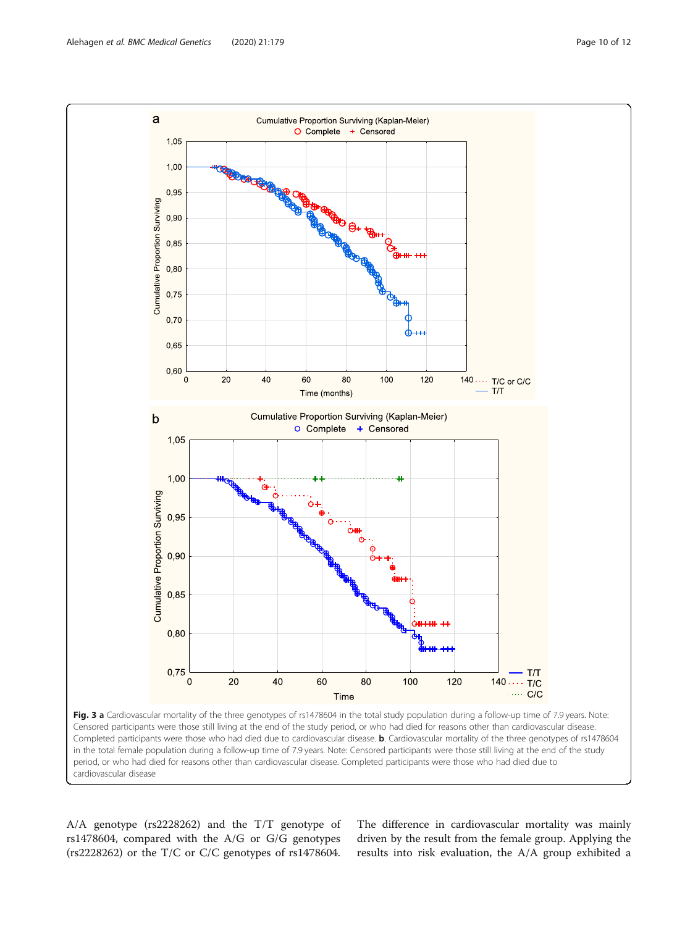<span id="page-9-0"></span>

A/A genotype (rs2228262) and the T/T genotype of rs1478604, compared with the A/G or G/G genotypes (rs2228262) or the T/C or C/C genotypes of rs1478604.

The difference in cardiovascular mortality was mainly driven by the result from the female group. Applying the results into risk evaluation, the A/A group exhibited a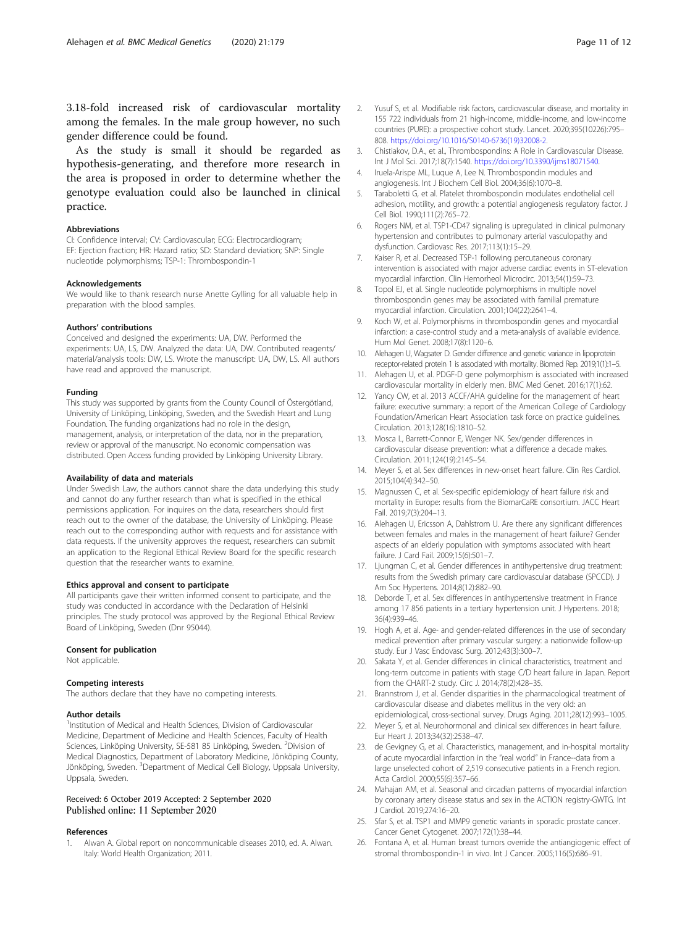<span id="page-10-0"></span>3.18-fold increased risk of cardiovascular mortality among the females. In the male group however, no such

gender difference could be found. As the study is small it should be regarded as hypothesis-generating, and therefore more research in the area is proposed in order to determine whether the genotype evaluation could also be launched in clinical practice.

#### **Abbreviations**

CI: Confidence interval; CV: Cardiovascular; ECG: Electrocardiogram; EF: Ejection fraction; HR: Hazard ratio; SD: Standard deviation; SNP: Single nucleotide polymorphisms; TSP-1: Thrombospondin-1

#### Acknowledgements

We would like to thank research nurse Anette Gylling for all valuable help in preparation with the blood samples.

#### Authors' contributions

Conceived and designed the experiments: UA, DW. Performed the experiments: UA, LS, DW. Analyzed the data: UA, DW. Contributed reagents/ material/analysis tools: DW, LS. Wrote the manuscript: UA, DW, LS. All authors have read and approved the manuscript.

#### Funding

This study was supported by grants from the County Council of Östergötland, University of Linköping, Linköping, Sweden, and the Swedish Heart and Lung Foundation. The funding organizations had no role in the design, management, analysis, or interpretation of the data, nor in the preparation, review or approval of the manuscript. No economic compensation was distributed. Open Access funding provided by Linköping University Library.

#### Availability of data and materials

Under Swedish Law, the authors cannot share the data underlying this study and cannot do any further research than what is specified in the ethical permissions application. For inquires on the data, researchers should first reach out to the owner of the database, the University of Linköping. Please reach out to the corresponding author with requests and for assistance with data requests. If the university approves the request, researchers can submit an application to the Regional Ethical Review Board for the specific research question that the researcher wants to examine.

#### Ethics approval and consent to participate

All participants gave their written informed consent to participate, and the study was conducted in accordance with the Declaration of Helsinki principles. The study protocol was approved by the Regional Ethical Review Board of Linköping, Sweden (Dnr 95044).

#### Consent for publication

Not applicable.

#### Competing interests

The authors declare that they have no competing interests.

#### Author details

<sup>1</sup>Institution of Medical and Health Sciences, Division of Cardiovascular Medicine, Department of Medicine and Health Sciences, Faculty of Health Sciences, Linköping University, SE-581 85 Linköping, Sweden. <sup>2</sup>Division of Medical Diagnostics, Department of Laboratory Medicine, Jönköping County, Jönköping, Sweden. <sup>3</sup>Department of Medical Cell Biology, Uppsala University, Uppsala, Sweden.

# Received: 6 October 2019 Accepted: 2 September 2020 Published online: 11 September 2020

#### References

1. Alwan A. Global report on noncommunicable diseases 2010, ed. A. Alwan. Italy: World Health Organization; 2011.

- 2. Yusuf S, et al. Modifiable risk factors, cardiovascular disease, and mortality in 155 722 individuals from 21 high-income, middle-income, and low-income countries (PURE): a prospective cohort study. Lancet. 2020;395(10226):795– 808. [https://doi.org/10.1016/S0140-6736\(19\)32008-2](https://doi.org/10.1016/S0140-6736(19)32008-2).
- 3. Chistiakov, D.A., et al., Thrombospondins: A Role in Cardiovascular Disease. Int J Mol Sci. 2017;18(7):1540. [https://doi.org/10.3390/ijms18071540.](https://doi.org/10.3390/ijms18071540)
- 4. Iruela-Arispe ML, Luque A, Lee N. Thrombospondin modules and angiogenesis. Int J Biochem Cell Biol. 2004;36(6):1070–8.
- 5. Taraboletti G, et al. Platelet thrombospondin modulates endothelial cell adhesion, motility, and growth: a potential angiogenesis regulatory factor. J Cell Biol. 1990;111(2):765–72.
- 6. Rogers NM, et al. TSP1-CD47 signaling is upregulated in clinical pulmonary hypertension and contributes to pulmonary arterial vasculopathy and dysfunction. Cardiovasc Res. 2017;113(1):15–29.
- 7. Kaiser R, et al. Decreased TSP-1 following percutaneous coronary intervention is associated with major adverse cardiac events in ST-elevation myocardial infarction. Clin Hemorheol Microcirc. 2013;54(1):59–73.
- Topol EJ, et al. Single nucleotide polymorphisms in multiple novel thrombospondin genes may be associated with familial premature myocardial infarction. Circulation. 2001;104(22):2641–4.
- 9. Koch W, et al. Polymorphisms in thrombospondin genes and myocardial infarction: a case-control study and a meta-analysis of available evidence. Hum Mol Genet. 2008;17(8):1120–6.
- 10. Alehagen U, Wagsater D. Gender difference and genetic variance in lipoprotein receptor-related protein 1 is associated with mortality. Biomed Rep. 2019;1(1):1–5.
- 11. Alehagen U, et al. PDGF-D gene polymorphism is associated with increased cardiovascular mortality in elderly men. BMC Med Genet. 2016;17(1):62.
- 12. Yancy CW, et al. 2013 ACCF/AHA guideline for the management of heart failure: executive summary: a report of the American College of Cardiology Foundation/American Heart Association task force on practice guidelines. Circulation. 2013;128(16):1810–52.
- 13. Mosca L, Barrett-Connor E, Wenger NK. Sex/gender differences in cardiovascular disease prevention: what a difference a decade makes. Circulation. 2011;124(19):2145–54.
- 14. Meyer S, et al. Sex differences in new-onset heart failure. Clin Res Cardiol. 2015;104(4):342–50.
- 15. Magnussen C, et al. Sex-specific epidemiology of heart failure risk and mortality in Europe: results from the BiomarCaRE consortium. JACC Heart Fail. 2019;7(3):204–13.
- 16. Alehagen U, Ericsson A, Dahlstrom U. Are there any significant differences between females and males in the management of heart failure? Gender aspects of an elderly population with symptoms associated with heart failure. J Card Fail. 2009;15(6):501–7.
- 17. Ljungman C, et al. Gender differences in antihypertensive drug treatment: results from the Swedish primary care cardiovascular database (SPCCD). J Am Soc Hypertens. 2014;8(12):882–90.
- 18. Deborde T, et al. Sex differences in antihypertensive treatment in France among 17 856 patients in a tertiary hypertension unit. J Hypertens. 2018; 36(4):939–46.
- 19. Hogh A, et al. Age- and gender-related differences in the use of secondary medical prevention after primary vascular surgery: a nationwide follow-up study. Eur J Vasc Endovasc Surg. 2012;43(3):300–7.
- 20. Sakata Y, et al. Gender differences in clinical characteristics, treatment and long-term outcome in patients with stage C/D heart failure in Japan. Report from the CHART-2 study. Circ J. 2014;78(2):428–35.
- 21. Brannstrom J, et al. Gender disparities in the pharmacological treatment of cardiovascular disease and diabetes mellitus in the very old: an epidemiological, cross-sectional survey. Drugs Aging. 2011;28(12):993–1005.
- 22. Meyer S, et al. Neurohormonal and clinical sex differences in heart failure. Eur Heart J. 2013;34(32):2538–47.
- 23. de Gevigney G, et al. Characteristics, management, and in-hospital mortality of acute myocardial infarction in the "real world" in France--data from a large unselected cohort of 2,519 consecutive patients in a French region. Acta Cardiol. 2000;55(6):357–66.
- 24. Mahajan AM, et al. Seasonal and circadian patterns of myocardial infarction by coronary artery disease status and sex in the ACTION registry-GWTG. Int J Cardiol. 2019;274:16–20.
- 25. Sfar S, et al. TSP1 and MMP9 genetic variants in sporadic prostate cancer. Cancer Genet Cytogenet. 2007;172(1):38–44.
- 26. Fontana A, et al. Human breast tumors override the antiangiogenic effect of stromal thrombospondin-1 in vivo. Int J Cancer. 2005;116(5):686–91.